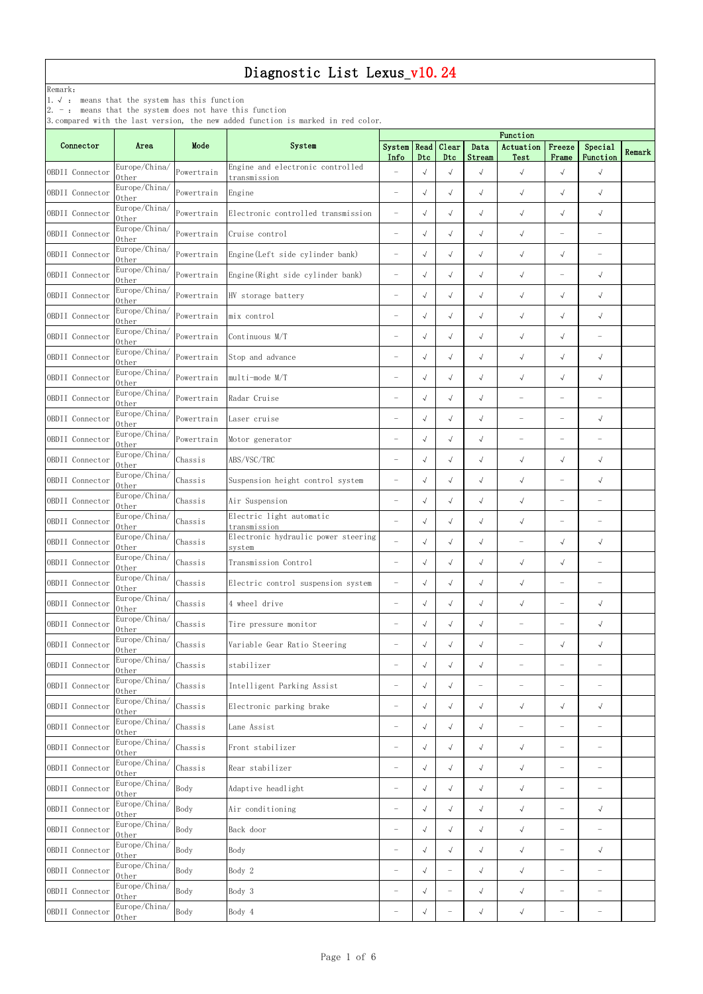|                 |                                                                                                               |            | o, compared write the rast version, the new added runction is marked in red coror. | Function                 |            |                          |                |                          |                          |                                   |        |  |
|-----------------|---------------------------------------------------------------------------------------------------------------|------------|------------------------------------------------------------------------------------|--------------------------|------------|--------------------------|----------------|--------------------------|--------------------------|-----------------------------------|--------|--|
| Connector       | Area                                                                                                          | Mode       | System                                                                             | System  <br>Info         | Dtc        | Read Clear<br>Dtc        | Data<br>Stream | Actuation<br>Test        | Freeze<br>Frame          | Special<br>Function               | Remark |  |
| OBDII Connector | Europe/China/<br>0ther                                                                                        | Powertrain | Engine and electronic controlled<br>transmission                                   |                          | $\sqrt{ }$ | $\sqrt{ }$               | $\sqrt{}$      | $\sqrt{}$                | $\sqrt{ }$               | $\sqrt{}$                         |        |  |
| OBDII Connector | Europe/China/<br>0ther                                                                                        | Powertrain | Engine                                                                             | $\overline{\phantom{m}}$ | $\sqrt{ }$ | $\sqrt{ }$               | $\sqrt{}$      | $\sqrt{ }$               | $\sqrt{ }$               | $\sqrt{ }$                        |        |  |
| OBDII Connector | Europe/China/<br>0ther                                                                                        | Powertrain | Electronic controlled transmission                                                 |                          | $\sqrt{ }$ | $\sqrt{ }$               | $\sqrt{ }$     | $\sqrt{ }$               | $\sqrt{ }$               | $\sqrt{ }$                        |        |  |
| OBDII Connector | Europe/China/<br>0ther                                                                                        | Powertrain | Cruise control                                                                     | $\overline{\phantom{m}}$ | $\sqrt{ }$ | $\sqrt{ }$               | $\sqrt{ }$     | $\sqrt{ }$               | $\overline{\phantom{m}}$ | $\overbrace{\phantom{123221111}}$ |        |  |
| OBDII Connector | Europe/China/<br>0ther                                                                                        | Powertrain | Engine (Left side cylinder bank)                                                   | $\overline{\phantom{m}}$ | $\sqrt{ }$ | $\sqrt{ }$               | $\sqrt{ }$     | $\sqrt{ }$               | $\sqrt{ }$               | $\overline{\phantom{0}}$          |        |  |
| OBDII Connector | Europe/China/<br>0ther                                                                                        | Powertrain | Engine (Right side cylinder bank)                                                  | $\overline{\phantom{m}}$ | $\sqrt{ }$ | $\sqrt{ }$               | $\sqrt{ }$     | $\sqrt{ }$               | $\overline{\phantom{m}}$ | $\sqrt{ }$                        |        |  |
| OBDII Connector | Europe/China/<br>0ther                                                                                        | Powertrain | HV storage battery                                                                 | $\overline{\phantom{0}}$ | $\sqrt{ }$ | $\sqrt{ }$               | $\sqrt{ }$     | $\sqrt{ }$               | $\sqrt{ }$               | $\sqrt{ }$                        |        |  |
| OBDII Connector | Europe/China/<br>0ther                                                                                        | Powertrain | mix control                                                                        | $\overline{\phantom{0}}$ | $\sqrt{ }$ | $\sqrt{ }$               | $\sqrt{ }$     | $\sqrt{ }$               | $\sqrt{ }$               | $\sqrt{ }$                        |        |  |
| OBDII Connector | Europe/China/<br>0ther                                                                                        | Powertrain | Continuous M/T                                                                     | $\overline{\phantom{0}}$ | $\sqrt{ }$ | $\sqrt{ }$               | $\sqrt{}$      | $\sqrt{ }$               | $\sqrt{ }$               | $\overline{\phantom{0}}$          |        |  |
| OBDII Connector | Europe/China/<br>0ther                                                                                        | Powertrain | Stop and advance                                                                   |                          | $\sqrt{ }$ | $\sqrt{ }$               | $\sqrt{ }$     | $\sqrt{ }$               | $\sqrt{ }$               | $\sqrt{ }$                        |        |  |
| OBDII Connector | Europe/China/<br>0ther                                                                                        | Powertrain | multi-mode M/T                                                                     | $\equiv$                 | $\sqrt{ }$ | $\sqrt{ }$               | $\sqrt{}$      | $\sqrt{ }$               | $\sqrt{ }$               | $\sqrt{ }$                        |        |  |
| OBDII Connector | Europe/China/<br>0ther                                                                                        | Powertrain | Radar Cruise                                                                       |                          | $\sqrt{ }$ | $\sqrt{ }$               | $\sqrt{ }$     |                          | $\overline{\phantom{0}}$ |                                   |        |  |
| OBDII Connector | Europe/China/<br>0ther                                                                                        | Powertrain | Laser cruise                                                                       | $\equiv$                 | $\sqrt{ }$ | $\sqrt{ }$               | $\sqrt{}$      |                          | $\overline{\phantom{0}}$ | $\sqrt{ }$                        |        |  |
| OBDII Connector | Europe/China/<br>0ther                                                                                        | Powertrain | Motor generator                                                                    |                          | $\sqrt{ }$ | $\sqrt{ }$               | $\sqrt{}$      | $\overline{\phantom{0}}$ | $\overline{\phantom{a}}$ |                                   |        |  |
| OBDII Connector | Europe/China/<br>0ther                                                                                        | Chassis    | ABS/VSC/TRC                                                                        |                          | $\sqrt{ }$ | $\sqrt{ }$               | $\sqrt{ }$     | $\sqrt{ }$               | $\sqrt{ }$               | $\sqrt{ }$                        |        |  |
| OBDII Connector | Europe/China/<br>Other                                                                                        | Chassis    | Suspension height control system                                                   |                          | $\sqrt{ }$ | $\sqrt{ }$               | $\sqrt{}$      | $\sqrt{ }$               | $\overline{\phantom{0}}$ | $\sqrt{ }$                        |        |  |
| OBDII Connector | Europe/China/<br>0ther                                                                                        | Chassis    | Air Suspension                                                                     |                          | $\sqrt{ }$ | $\sqrt{ }$               | $\sqrt{ }$     | $\sqrt{ }$               | $\overline{\phantom{0}}$ |                                   |        |  |
| OBDII Connector | Europe/China/<br>0ther                                                                                        | Chassis    | Electric light automatic<br>transmission                                           | $\overline{\phantom{0}}$ | $\sqrt{ }$ | $\sqrt{ }$               | $\sqrt{ }$     | $\sqrt{ }$               | $\overline{\phantom{a}}$ |                                   |        |  |
| OBDII Connector | Europe/China/<br>0ther                                                                                        | Chassis    | Electronic hydraulic power steering<br>system                                      | $\equiv$                 | $\sqrt{ }$ | $\sqrt{ }$               | $\sqrt{ }$     | $\overline{\phantom{0}}$ | $\sqrt{ }$               | $\sqrt{ }$                        |        |  |
| OBDII Connector | Europe/China/<br>0ther                                                                                        | Chassis    | Transmission Control                                                               | $\overline{\phantom{0}}$ | $\sqrt{ }$ | $\sqrt{2}$               | $\sqrt{ }$     | $\sqrt{}$                | $\sqrt{ }$               | $\overline{\phantom{0}}$          |        |  |
| OBDII Connector | Europe/China/<br>0ther                                                                                        | Chassis    | Electric control suspension system                                                 | $\overline{\phantom{0}}$ | $\sqrt{ }$ | $\sqrt{ }$               | $\sqrt{ }$     | $\sqrt{}$                | $\overline{\phantom{a}}$ | $\overline{\phantom{0}}$          |        |  |
| OBDII Connector | Europe/China/<br>0ther                                                                                        | Chassis    | 4 wheel drive                                                                      | $\overline{\phantom{0}}$ | $\sqrt{ }$ | $\sqrt{ }$               | $\sqrt{ }$     | $\sqrt{ }$               | $\overline{\phantom{0}}$ | $\sqrt{ }$                        |        |  |
| OBDII Connector | Europe/China/<br>0ther                                                                                        | Chassis    | Tire pressure monitor                                                              | $\equiv$                 | $\sqrt{ }$ | $\sqrt{ }$               | $\sqrt{ }$     | $\equiv$                 | $\overline{\phantom{0}}$ | $\sqrt{ }$                        |        |  |
| OBDII Connector | Europe/China/<br>0ther                                                                                        | Chassis    | Variable Gear Ratio Steering                                                       | $\overline{\phantom{0}}$ | $\sqrt{ }$ | $\sqrt{ }$               | $\sqrt{ }$     |                          | $\sqrt{ }$               | $\sqrt{ }$                        |        |  |
| OBDII Connector | Europe/China/<br>0ther                                                                                        | Chassis    | stabilizer                                                                         |                          | $\sqrt{ }$ | $\sqrt{2}$               | $\sqrt{ }$     |                          | $\overline{\phantom{0}}$ |                                   |        |  |
| OBDII Connector | Europe/China/<br>0ther                                                                                        | Chassis    | Intelligent Parking Assist                                                         | $\overline{\phantom{0}}$ | $\sqrt{ }$ | $\sqrt{ }$               |                |                          | $\overline{\phantom{0}}$ | $\overbrace{\phantom{123221111}}$ |        |  |
| OBDII Connector | Europe/China/<br>0ther                                                                                        | Chassis    | Electronic parking brake                                                           | $\overline{\phantom{0}}$ | $\sqrt{ }$ | $\sqrt{2}$               | $\sqrt{ }$     | $\sqrt{ }$               | $\sqrt{ }$               | $\sqrt{ }$                        |        |  |
| OBDII Connector | Europe/China/<br>0ther                                                                                        | Chassis    | Lane Assist                                                                        | $\overline{\phantom{0}}$ | $\sqrt{ }$ | $\sqrt{2}$               | $\sqrt{ }$     | $\overline{\phantom{0}}$ | $\overline{\phantom{a}}$ | $\qquad \qquad -$                 |        |  |
| OBDII Connector | Europe/China/<br>0ther                                                                                        | Chassis    | Front stabilizer                                                                   | $\overline{\phantom{0}}$ | $\sqrt{ }$ | $\sqrt{ }$               | $\sqrt{}$      | $\sqrt{ }$               | $\overline{\phantom{m}}$ | $\qquad \qquad -$                 |        |  |
| OBDII Connector | Europe/China/<br>0ther                                                                                        | Chassis    | Rear stabilizer                                                                    |                          | $\sqrt{ }$ | $\sqrt{2}$               | $\sqrt{ }$     | $\sqrt{ }$               | $\overline{\phantom{m}}$ | $\qquad \qquad -$                 |        |  |
| OBDII Connector | Europe/China/<br>0ther                                                                                        | Body       | Adaptive headlight                                                                 | $\overline{\phantom{0}}$ | $\sqrt{ }$ | $\sqrt{ }$               | $\sqrt{}$      | $\sqrt{ }$               | $\overline{\phantom{a}}$ | $\overbrace{\phantom{123221111}}$ |        |  |
| OBDII Connector | Europe/China/<br>0ther                                                                                        | Body       | Air conditioning                                                                   | $\overline{\phantom{0}}$ | $\sqrt{ }$ | $\sqrt{ }$               | $\sqrt{ }$     | $\sqrt{ }$               | $\qquad \qquad -$        | $\sqrt{ }$                        |        |  |
| OBDII Connector | Europe/China/<br>0ther                                                                                        | Body       | Back door                                                                          | $\overline{\phantom{0}}$ | $\sqrt{ }$ | $\sqrt{ }$               | $\sqrt{}$      | $\sqrt{ }$               | $\overline{\phantom{a}}$ | $\overline{\phantom{0}}$          |        |  |
| OBDII Connector | Europe/China/<br>0ther                                                                                        | Body       | Body                                                                               |                          | $\sqrt{ }$ | $\sqrt{ }$               | $\sqrt{ }$     | $\sqrt{ }$               | $\overline{\phantom{0}}$ | $\sqrt{ }$                        |        |  |
| OBDII Connector | $\sqrt{\frac{C_{\text{sur}}}{\text{Europe}/\text{China}}}/\sqrt{\frac{B_{\text{ody}}}{\text{Body}}}$<br>0ther |            | Body 2                                                                             | -                        | $\sqrt{ }$ |                          |                | $\sqrt{ }$               | $\qquad \qquad -$        |                                   |        |  |
| OBDII Connector | Europe/China/<br>0ther                                                                                        | Body       | Body 3                                                                             | $\overline{\phantom{m}}$ | $\sqrt{ }$ | $\overline{\phantom{m}}$ | $\sqrt{ }$     | $\sqrt{ }$               | $\overline{\phantom{m}}$ | $\overbrace{\phantom{123221111}}$ |        |  |
| OBDII Connector | Europe/China/<br>Other                                                                                        | Body       | Body 4                                                                             | $\overline{\phantom{0}}$ | $\sqrt{ }$ | $\overline{\phantom{0}}$ | $\sqrt{ }$     | $\sqrt{ }$               | $\overline{\phantom{m}}$ | $\overline{\phantom{0}}$          |        |  |

Remark:

1.√ : means that the system has this function

2. - : means that the system does not have this function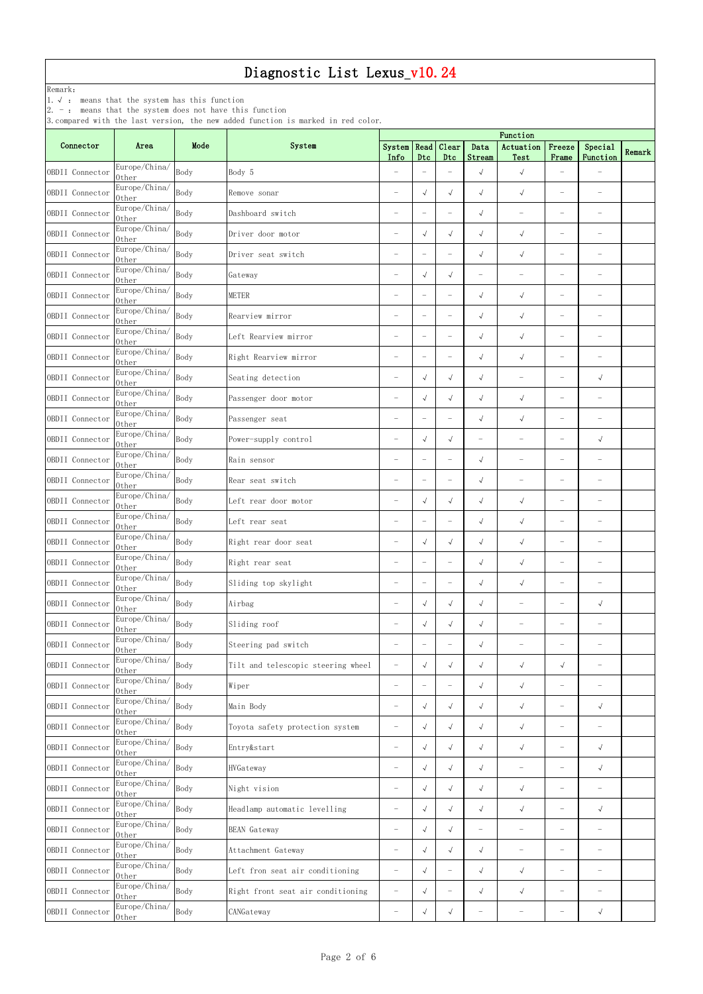Remark:

1.√ : means that the system has this function

2. - : means that the system does not have this function

|                 |                        |      | p.compared with the fast version, the new added function is marked in red color. | Function                 |                          |                          |                          |                                   |                          |                                   |        |
|-----------------|------------------------|------|----------------------------------------------------------------------------------|--------------------------|--------------------------|--------------------------|--------------------------|-----------------------------------|--------------------------|-----------------------------------|--------|
| Connector       | Area                   | Mode | System                                                                           | System<br>Info           | Read<br>Dtc              | Clear<br>Dtc             | Data<br>Stream           | Actuation<br>Test                 | Freeze<br>Frame          | Special<br>Function               | Remark |
| OBDII Connector | Europe/China/<br>0ther | Body | Body 5                                                                           | $\overline{\phantom{0}}$ | $\overline{\phantom{m}}$ | $\overline{\phantom{0}}$ | $\sqrt{ }$               | $\sqrt{ }$                        | ÷                        |                                   |        |
| OBDII Connector | Europe/China/<br>0ther | Body | Remove sonar                                                                     | $\overline{\phantom{0}}$ | $\sqrt{ }$               | $\sqrt{ }$               | $\sqrt{}$                | $\sqrt{ }$                        | $\overline{\phantom{m}}$ | $\overbrace{\phantom{123221111}}$ |        |
| OBDII Connector | Europe/China/<br>0ther | Body | Dashboard switch                                                                 | $\overline{\phantom{0}}$ | $\overline{\phantom{m}}$ | $\overline{\phantom{0}}$ | $\sqrt{ }$               | $\overline{\phantom{0}}$          | $\overline{\phantom{0}}$ | $\overline{\phantom{0}}$          |        |
| OBDII Connector | Europe/China/<br>0ther | Body | Driver door motor                                                                | $\overline{\phantom{0}}$ | $\sqrt{ }$               | $\sqrt{ }$               | $\sqrt{ }$               | $\sqrt{ }$                        | $\overline{\phantom{m}}$ | $\overbrace{\phantom{123221111}}$ |        |
| OBDII Connector | Europe/China/<br>0ther | Body | Driver seat switch                                                               | $\overline{\phantom{0}}$ | $\overline{\phantom{m}}$ | $\overline{\phantom{0}}$ | $\sqrt{ }$               | $\sqrt{ }$                        | $\overline{\phantom{m}}$ | $\qquad \qquad -$                 |        |
| OBDII Connector | Europe/China/<br>0ther | Body | Gateway                                                                          | $\overline{\phantom{m}}$ | $\sqrt{ }$               | $\sqrt{ }$               | $\overline{\phantom{0}}$ | $\overline{\phantom{m}}$          | $\overline{\phantom{a}}$ |                                   |        |
| OBDII Connector | Europe/China/<br>0ther | Body | METER                                                                            | $\overline{\phantom{0}}$ | $\overline{\phantom{m}}$ | $\overline{\phantom{0}}$ | $\sqrt{ }$               | $\sqrt{ }$                        | $\overline{\phantom{0}}$ | $\overbrace{\phantom{123221111}}$ |        |
| OBDII Connector | Europe/China/<br>0ther | Body | Rearview mirror                                                                  | $\overline{\phantom{0}}$ | $\overline{\phantom{a}}$ | $\overline{\phantom{0}}$ | $\sqrt{ }$               | $\sqrt{ }$                        | $\overline{\phantom{0}}$ | $\overline{\phantom{0}}$          |        |
| OBDII Connector | Europe/China/<br>0ther | Body | Left Rearview mirror                                                             | $\equiv$                 | $\overline{\phantom{m}}$ | $\overline{\phantom{0}}$ | $\sqrt{ }$               | $\sqrt{ }$                        | $\overline{\phantom{0}}$ | $\overline{\phantom{0}}$          |        |
| OBDII Connector | Europe/China/<br>0ther | Body | Right Rearview mirror                                                            |                          | $\overline{\phantom{m}}$ | $\overline{\phantom{0}}$ | $\sqrt{ }$               | $\sqrt{ }$                        | $\overline{\phantom{0}}$ |                                   |        |
| OBDII Connector | Europe/China/<br>0ther | Body | Seating detection                                                                | $\overline{\phantom{0}}$ | $\sqrt{ }$               | $\sqrt{ }$               | $\sqrt{}$                |                                   |                          | $\sqrt{ }$                        |        |
| OBDII Connector | Europe/China/<br>0ther | Body | Passenger door motor                                                             |                          | $\sqrt{ }$               | $\sqrt{ }$               | $\sqrt{ }$               | $\sqrt{ }$                        | $\overline{\phantom{0}}$ |                                   |        |
| OBDII Connector | Europe/China/<br>0ther | Body | Passenger seat                                                                   | $\equiv$                 | $\overline{\phantom{m}}$ | $\overline{\phantom{0}}$ | $\sqrt{ }$               | $\sqrt{ }$                        | $\overline{\phantom{0}}$ | $\overline{\phantom{0}}$          |        |
| OBDII Connector | Europe/China/<br>0ther | Body | Power-supply control                                                             | $\overline{\phantom{0}}$ | $\sqrt{ }$               | $\sqrt{ }$               |                          | $\overbrace{\phantom{123221111}}$ | $\qquad \qquad -$        | $\sqrt{ }$                        |        |
| OBDII Connector | Europe/China/<br>0ther | Body | Rain sensor                                                                      |                          | $\overline{\phantom{m}}$ | $\overline{\phantom{0}}$ | $\sqrt{ }$               | $\overline{\phantom{m}}$          | $\overline{\phantom{m}}$ | $\overline{\phantom{0}}$          |        |
| OBDII Connector | Europe/China/<br>0ther | Body | Rear seat switch                                                                 | $\overline{\phantom{0}}$ | $\overline{\phantom{m}}$ | $\overline{\phantom{0}}$ | $\sqrt{ }$               | $\overline{\phantom{0}}$          | $\overline{\phantom{a}}$ | $\overline{\phantom{0}}$          |        |
| OBDII Connector | Europe/China/<br>0ther | Body | Left rear door motor                                                             |                          | $\sqrt{ }$               | $\sqrt{ }$               | $\sqrt{ }$               | $\sqrt{ }$                        | $\overline{\phantom{0}}$ |                                   |        |
| OBDII Connector | Europe/China/<br>0ther | Body | Left rear seat                                                                   |                          | $\overline{\phantom{a}}$ | $\overline{\phantom{0}}$ | $\sqrt{ }$               | $\sqrt{}$                         | $\overline{\phantom{0}}$ |                                   |        |
| OBDII Connector | Europe/China/<br>0ther | Body | Right rear door seat                                                             |                          | $\sqrt{ }$               | $\sqrt{ }$               | $\sqrt{ }$               | $\sqrt{ }$                        | $\overline{\phantom{0}}$ |                                   |        |
| OBDII Connector | Europe/China/<br>0ther | Body | Right rear seat                                                                  |                          | $\overline{\phantom{m}}$ | $\overline{\phantom{0}}$ | $\sqrt{ }$               | $\sqrt{ }$                        | ÷                        |                                   |        |
| OBDII Connector | Europe/China/<br>0ther | Body | Sliding top skylight                                                             | $\equiv$                 | $\overline{\phantom{m}}$ | $\overline{\phantom{0}}$ | $\sqrt{ }$               | $\sqrt{ }$                        | $\overline{\phantom{m}}$ |                                   |        |
| OBDII Connector | Europe/China/<br>0ther | Body | Airbag                                                                           |                          | $\sqrt{ }$               | $\sqrt{ }$               | $\sqrt{ }$               |                                   | ÷                        | $\sqrt{ }$                        |        |
| OBDII Connector | Europe/China/<br>Other | Body | Sliding roof                                                                     |                          | $\sqrt{ }$               | $\sqrt{2}$               | $\sqrt{ }$               | $\overline{\phantom{0}}$          | $\overline{\phantom{0}}$ |                                   |        |
| OBDII Connector | Europe/China/<br>0ther | Body | Steering pad switch                                                              | $\overline{\phantom{0}}$ | $\overline{\phantom{m}}$ | $\overline{\phantom{0}}$ | $\sqrt{ }$               | $\overbrace{\phantom{123221111}}$ | $\overline{\phantom{0}}$ |                                   |        |
| OBDII Connector | Europe/China/<br>0ther | Body | Tilt and telescopic steering wheel                                               | $\overline{\phantom{m}}$ | $\sqrt{ }$               | $\sqrt{ }$               | $\sqrt{ }$               | $\sqrt{ }$                        | $\sqrt{ }$               | $\overline{\phantom{0}}$          |        |
| OBDII Connector | Europe/China/<br>0ther | Body | Wiper                                                                            | $\overline{\phantom{0}}$ | $\overline{\phantom{m}}$ | $\overline{\phantom{0}}$ | $\sqrt{}$                | $\sqrt{ }$                        | $\overline{\phantom{m}}$ | $\qquad \qquad -$                 |        |
| OBDII Connector | Europe/China/<br>0ther | Body | Main Body                                                                        | $\overline{\phantom{0}}$ | $\sqrt{ }$               | $\sqrt{ }$               | $\sqrt{}$                | $\sqrt{ }$                        | $\overline{\phantom{m}}$ | $\sqrt{ }$                        |        |
| OBDII Connector | Europe/China/<br>0ther | Body | Toyota safety protection system                                                  | $\overline{\phantom{a}}$ | $\sqrt{ }$               | $\sqrt{ }$               | $\sqrt{}$                | $\sqrt{ }$                        | $\overline{\phantom{0}}$ | $\overline{\phantom{0}}$          |        |
| OBDII Connector | Europe/China/<br>0ther | Body | Entry&start                                                                      | $\overline{\phantom{0}}$ | $\sqrt{ }$               | $\sqrt{ }$               | $\sqrt{ }$               | $\sqrt{ }$                        | $\overline{\phantom{0}}$ | $\sqrt{ }$                        |        |
| OBDII Connector | Europe/China/<br>0ther | Body | HVGateway                                                                        | $\overline{\phantom{0}}$ | $\sqrt{ }$               | $\sqrt{ }$               | $\sqrt{}$                |                                   | ÷                        | $\sqrt{ }$                        |        |
| OBDII Connector | Europe/China/<br>0ther | Body | Night vision                                                                     | $\overline{\phantom{0}}$ | $\sqrt{ }$               | $\sqrt{ }$               | $\sqrt{ }$               | $\sqrt{ }$                        | $\overline{\phantom{m}}$ | $\overline{\phantom{0}}$          |        |
| OBDII Connector | Europe/China/<br>0ther | Body | Headlamp automatic levelling                                                     | $\overline{\phantom{0}}$ | $\sqrt{ }$               | $\sqrt{ }$               | $\sqrt{ }$               | $\sqrt{ }$                        | $\overline{\phantom{m}}$ | $\sqrt{ }$                        |        |
| OBDII Connector | Europe/China/<br>0ther | Body | <b>BEAN</b> Gateway                                                              | $\overline{\phantom{0}}$ | $\sqrt{ }$               | $\sqrt{ }$               | $\overline{\phantom{0}}$ | $\overline{\phantom{0}}$          | $\overline{\phantom{0}}$ | $\overline{\phantom{0}}$          |        |
| OBDII Connector | Europe/China/<br>0ther | Body | Attachment Gateway                                                               |                          | $\sqrt{ }$               | $\sqrt{ }$               | $\sqrt{ }$               | $\overbrace{\phantom{123221111}}$ | $\qquad \qquad -$        |                                   |        |
| OBDII Connector | Europe/China/<br>0ther | Body | Left fron seat air conditioning                                                  |                          | $\mathbf \sim$           |                          |                          |                                   |                          |                                   |        |
| OBDII Connector | Europe/China/<br>0ther | Body | Right front seat air conditioning                                                | $\overline{\phantom{m}}$ | $\sqrt{ }$               | $\overline{\phantom{0}}$ | $\sqrt{ }$               | $\sqrt{ }$                        | $\overline{\phantom{m}}$ | $\overline{\phantom{a}}$          |        |
| OBDII Connector | Europe/China/<br>Other | Body | CANGateway                                                                       | $\overline{\phantom{m}}$ | $\sqrt{ }$               | $\sqrt{ }$               | $\overline{\phantom{a}}$ | $\overline{\phantom{m}}$          | $\overline{\phantom{m}}$ | $\sqrt{ }$                        |        |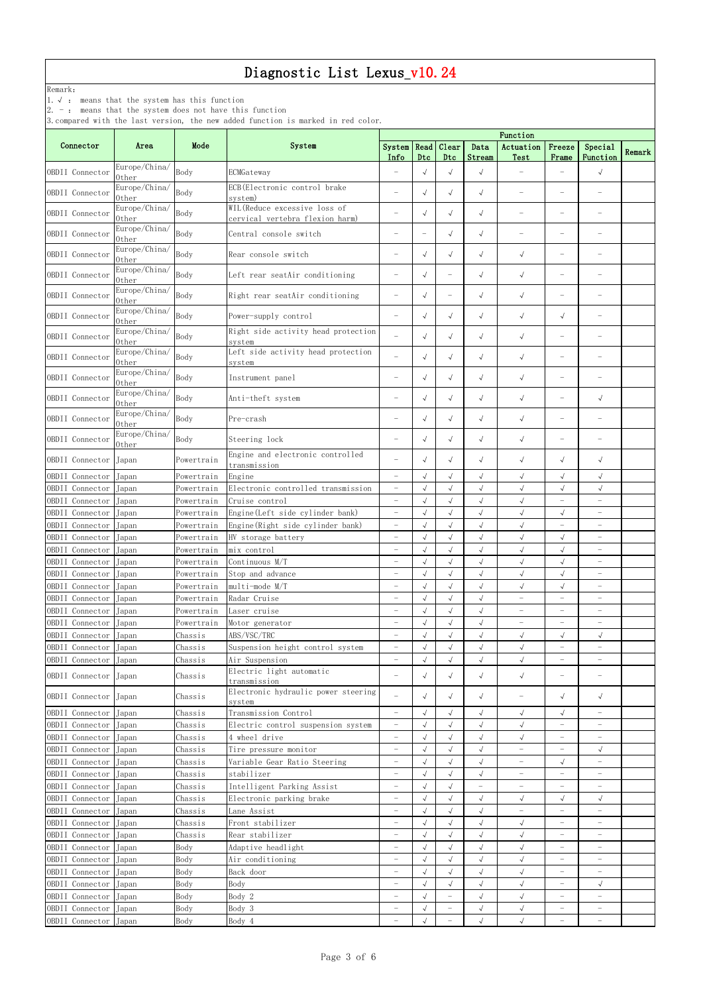Remark:

1.√ : means that the system has this function

2. - : means that the system does not have this function

|                       |                        |            |                                                                  | Function                 |                          |                          |                          |                          |                                   |                          |        |  |  |
|-----------------------|------------------------|------------|------------------------------------------------------------------|--------------------------|--------------------------|--------------------------|--------------------------|--------------------------|-----------------------------------|--------------------------|--------|--|--|
| Connector             | Area                   | Mode       | System                                                           | System   Read  <br>Info  | Dtc                      | Clear<br>Dtc             | Data<br>Stream           | Actuation<br>Test        | Freeze<br>Frame                   | Special<br>Function      | Remark |  |  |
| OBDII Connector       | Europe/China/<br>0ther | Body       | ECMGateway                                                       |                          | $\sqrt{ }$               | $\sqrt{}$                | $\sqrt{}$                |                          |                                   | $\sqrt{ }$               |        |  |  |
| OBDII Connector       | Europe/China/<br>0ther | Body       | ECB (Electronic control brake<br>system)                         |                          | $\sqrt{ }$               | $\sqrt{ }$               | $\sqrt{ }$               |                          | $\overline{\phantom{m}}$          |                          |        |  |  |
| OBDII Connector       | Europe/China/<br>0ther | Body       | WIL (Reduce excessive loss of<br>cervical vertebra flexion harm) |                          | $\sqrt{ }$               | $\sqrt{ }$               | $\sqrt{ }$               |                          | $\overline{\phantom{0}}$          |                          |        |  |  |
| OBDII Connector       | Europe/China/<br>Other | Body       | Central console switch                                           |                          | $\overline{\phantom{0}}$ | $\sqrt{ }$               | $\sqrt{ }$               | $\overline{\phantom{0}}$ | $\overline{\phantom{0}}$          |                          |        |  |  |
| OBDII Connector       | Europe/China/<br>0ther | Body       | Rear console switch                                              |                          | $\sqrt{ }$               | $\sqrt{ }$               | $\sqrt{ }$               | $\sqrt{ }$               |                                   |                          |        |  |  |
| OBDII Connector       | Europe/China/<br>0ther | Body       | Left rear seatAir conditioning                                   | $\overline{\phantom{m}}$ | $\sqrt{ }$               |                          | $\sqrt{ }$               | $\sqrt{ }$               | $\overline{\phantom{m}}$          |                          |        |  |  |
| OBDII Connector       | Europe/China/<br>0ther | Body       | Right rear seatAir conditioning                                  | $\overline{\phantom{0}}$ | $\sqrt{ }$               | $\overline{\phantom{0}}$ | $\sqrt{ }$               | $\sqrt{ }$               | $\overline{\phantom{0}}$          |                          |        |  |  |
| OBDII Connector       | Europe/China/<br>0ther | Body       | Power-supply control                                             |                          | $\sqrt{ }$               | $\sqrt{ }$               | $\sqrt{ }$               | $\sqrt{ }$               | $\sqrt{ }$                        |                          |        |  |  |
| OBDII Connector       | Europe/China/<br>0ther | Body       | Right side activity head protection<br>system                    |                          | $\sqrt{ }$               | $\sqrt{ }$               | $\sqrt{ }$               | $\sqrt{ }$               | $\overline{\phantom{0}}$          |                          |        |  |  |
| OBDII Connector       | Europe/China/<br>0ther | Body       | Left side activity head protection<br>system                     |                          | $\sqrt{ }$               | $\sqrt{ }$               | $\sqrt{ }$               | $\sqrt{ }$               | $\overbrace{\phantom{123221111}}$ |                          |        |  |  |
| OBDII Connector       | Europe/China/<br>0ther | Body       | Instrument panel                                                 |                          | $\sqrt{ }$               | $\sqrt{ }$               | $\sqrt{}$                | $\sqrt{ }$               | $\overline{\phantom{0}}$          |                          |        |  |  |
| OBDII Connector       | Europe/China/<br>0ther | Body       | Anti-theft system                                                | $\overline{\phantom{a}}$ | $\sqrt{ }$               | $\sqrt{ }$               | $\sqrt{ }$               | $\sqrt{ }$               | $\overline{\phantom{m}}$          | $\sqrt{ }$               |        |  |  |
| OBDII Connector       | Europe/China/<br>0ther | Body       | Pre-crash                                                        |                          | $\sqrt{ }$               | $\sqrt{ }$               | $\sqrt{}$                | $\sqrt{ }$               | $\overline{\phantom{m}}$          |                          |        |  |  |
| OBDII Connector       | Europe/China/<br>Other | Body       | Steering lock                                                    | $\overline{\phantom{a}}$ | $\sqrt{ }$               | $\sqrt{ }$               | $\sqrt{ }$               | $\sqrt{ }$               | $\overline{\phantom{m}}$          |                          |        |  |  |
| OBDII Connector       | Japan                  | Powertrain | Engine and electronic controlled<br>transmission                 |                          | $\sqrt{ }$               | $\sqrt{ }$               | $\sqrt{ }$               | $\sqrt{ }$               | $\sqrt{ }$                        | $\sqrt{ }$               |        |  |  |
| OBDII Connector       | Japan                  | Powertrain | Engine                                                           | $\overline{\phantom{0}}$ | $\sqrt{ }$               | $\sqrt{}$                | $\sqrt{}$                | $\sqrt{ }$               | $\sqrt{ }$                        | $\sqrt{ }$               |        |  |  |
| OBDII Connector Japan |                        | Powertrain | Electronic controlled transmission                               | $\overline{\phantom{0}}$ | $\sqrt{ }$               | $\sqrt{}$                | $\sqrt{2}$               | $\sqrt{ }$               | $\sqrt{}$                         | $\sqrt{ }$               |        |  |  |
| OBDII Connector Japan |                        | Powertrain | Cruise control                                                   |                          | $\checkmark$             | $\sqrt{ }$               | $\checkmark$             | $\sqrt{ }$               |                                   |                          |        |  |  |
| OBDII Connector       | Japan                  | Powertrain | Engine (Left side cylinder bank)                                 | $\overline{\phantom{0}}$ | $\sqrt{ }$               | $\sqrt{}$                | $\sqrt{}$                | $\sqrt{}$                | $\sqrt{ }$                        | $\overline{\phantom{0}}$ |        |  |  |
| OBDII Connector       | Japan                  | Powertrain | Engine (Right side cylinder bank)                                | $\overline{\phantom{0}}$ | $\sqrt{ }$               | $\sqrt{}$                | $\sqrt{}$                | $\sqrt{ }$               | $\overline{\phantom{0}}$          | $\overline{\phantom{0}}$ |        |  |  |
| OBDII Connector       | Japan                  | Powertrain | HV storage battery                                               | $\overline{\phantom{a}}$ | $\sqrt{ }$               | $\sqrt{ }$               | $\sqrt{}$                | $\sqrt{ }$               | $\sqrt{ }$                        | $\overline{\phantom{0}}$ |        |  |  |
| OBDII Connector       | Japan                  | Powertrain | mix control                                                      | $\equiv$                 | $\sqrt{ }$               | $\sqrt{2}$               | $\sqrt{2}$               | $\sqrt{ }$               | $\sqrt{ }$                        | $\overline{\phantom{0}}$ |        |  |  |
| OBDII Connector       | Japan                  | Powertrain | Continuous M/T                                                   | $\overline{\phantom{0}}$ | $\sqrt{ }$               | $\sqrt{}$                | $\sqrt{2}$               | $\sqrt{ }$               | $\sqrt{ }$                        | $\overline{\phantom{a}}$ |        |  |  |
| OBDII Connector       | Japan                  | Powertrain | Stop and advance                                                 | $\overline{\phantom{m}}$ | $\sqrt{ }$               | $\sqrt{ }$               | $\sqrt{ }$               | $\sqrt{ }$               | $\sqrt{\phantom{a}}$              | $\qquad \qquad -$        |        |  |  |
| OBDII Connector       | Japan                  | Powertrain | multi-mode M/T                                                   | $\equiv$                 | $\sqrt{}$                | $\sqrt{}$                | $\sqrt{2}$               | $\sqrt{ }$               | $\checkmark$                      | $\qquad \qquad -$        |        |  |  |
| OBDII Connector       | Japan                  | Powertrain | Radar Cruise                                                     | $\overline{\phantom{a}}$ | $\sqrt{}$                | $\sqrt{}$                | $\sqrt{2}$               | $\equiv$                 | $\overline{\phantom{0}}$          | $\overline{\phantom{0}}$ |        |  |  |
| OBDII Connector       | Japan                  | Powertrain | Laser cruise                                                     | $\overline{\phantom{0}}$ | $\sqrt{}$                | $\sqrt{2}$               | $\sqrt{}$                | $\overline{\phantom{m}}$ | $\overline{\phantom{0}}$          | $\overline{\phantom{0}}$ |        |  |  |
| OBDII Connector       | Japan                  | Powertrain | Motor generator                                                  | $\overline{\phantom{m}}$ | $\sqrt{ }$               | $\checkmark$             | $\sqrt{}$                | $\overline{\phantom{a}}$ | $\overline{\phantom{0}}$          | $\overline{\phantom{a}}$ |        |  |  |
| OBDII Connector       | Japan                  | Chassis    | ABS/VSC/TRC                                                      | $\overline{\phantom{0}}$ | $\sqrt{ }$               | $\sqrt{}$                | $\sqrt{}$                | $\sqrt{}$                | $\sqrt{ }$                        | $\sqrt{ }$               |        |  |  |
| OBDII Connector       | Japan                  | Chassis    | Suspension height control system                                 | $\overline{\phantom{m}}$ | $\sqrt{ }$               | $\sqrt{}$                | $\sqrt{2}$               | $\sqrt{ }$               | $\overline{\phantom{m}}$          | $\overline{\phantom{0}}$ |        |  |  |
| OBDII Connector       | Japan                  | Chassis    | Air Suspension                                                   | $\overline{\phantom{m}}$ | $\checkmark$             | $\sqrt{2}$               | $\sqrt{2}$               | $\sqrt{ }$               | $\overline{\phantom{0}}$          | $\overline{\phantom{0}}$ |        |  |  |
| OBDII Connector Japan |                        | Chassis    | Electric light automatic<br>transmission                         | $\overline{\phantom{m}}$ | $\sqrt{ }$               | $\sqrt{ }$               | $\sqrt{}$                | $\sqrt{ }$               | $\overline{\phantom{m}}$          |                          |        |  |  |
| OBDII Connector Japan |                        | Chassis    | Electronic hydraulic power steering<br>system                    | $\equiv$                 | $\sqrt{ }$               | $\sqrt{ }$               | $\sqrt{ }$               | $\overline{\phantom{m}}$ | $\sqrt{ }$                        | $\sqrt{ }$               |        |  |  |
| OBDII Connector       | Japan                  | Chassis    | Transmission Control                                             | $\overline{\phantom{0}}$ | $\sqrt{ }$               | $\sqrt{}$                | $\sqrt{}$                | $\sqrt{ }$               | $\sqrt{\phantom{a}}$              | $\overline{\phantom{0}}$ |        |  |  |
| OBDII Connector       | Japan                  | Chassis    | Electric control suspension system                               | $\overline{\phantom{m}}$ | $\sqrt{ }$               | $\sqrt{}$                | $\sqrt{ }$               | $\sqrt{ }$               | $\equiv$                          | $\overline{\phantom{0}}$ |        |  |  |
| OBDII Connector       | Japan                  | Chassis    | 4 wheel drive                                                    | $\overline{\phantom{m}}$ | $\sqrt{}$                | $\sqrt{}$                | $\sqrt{}$                | $\sqrt{}$                | $\overline{\phantom{0}}$          | $\overline{\phantom{0}}$ |        |  |  |
| OBDII Connector       | Japan                  | Chassis    | Tire pressure monitor                                            | $\overline{\phantom{m}}$ | $\sqrt{}$                | $\sqrt{}$                | $\sqrt{}$                | $\overline{\phantom{m}}$ | $\overline{\phantom{a}}$          | $\sqrt{ }$               |        |  |  |
| OBDII Connector       | Japan                  | Chassis    | Variable Gear Ratio Steering                                     | $\overline{\phantom{m}}$ | $\sqrt{ }$               | $\sqrt{}$                | $\sqrt{}$                | $\overline{\phantom{0}}$ | $\sqrt{ }$                        | $\overline{\phantom{a}}$ |        |  |  |
| OBDII Connector       | Japan                  | Chassis    | stabilizer                                                       | $\overline{\phantom{a}}$ | $\sqrt{}$                | $\sqrt{ }$               | $\sqrt{}$                | $\overline{\phantom{a}}$ | $\overline{\phantom{0}}$          | $\overline{\phantom{0}}$ |        |  |  |
| OBDII Connector       | Japan                  | Chassis    | Intelligent Parking Assist                                       | $\overline{\phantom{0}}$ | $\sqrt{}$                | $\sqrt{}$                | $\overline{\phantom{0}}$ | $\equiv$                 | $\overline{\phantom{0}}$          |                          |        |  |  |
| OBDII Connector       | Japan                  | Chassis    | Electronic parking brake                                         | $\overline{\phantom{m}}$ | $\sqrt{}$                | $\sqrt{}$                | $\sqrt{}$                | $\sqrt{}$                | $\sqrt{ }$                        | $\sqrt{ }$               |        |  |  |
| OBDII Connector       | Japan                  | Chassis    | Lane Assist                                                      | $\equiv$                 | $\sqrt{ }$               | $\sqrt{}$                | $\sqrt{}$                | $\overline{\phantom{m}}$ | $\overline{\phantom{0}}$          | $\overline{\phantom{0}}$ |        |  |  |
| OBDII Connector Japan |                        | Chassis    | Front stabilizer                                                 | $\overline{\phantom{m}}$ | $\sqrt{}$                | $\sqrt{}$                | $\sqrt{ }$               | $\sqrt{ }$               | $\overline{\phantom{0}}$          | $\overline{\phantom{a}}$ |        |  |  |
| OBDII Connector       | Japan                  | Chassis    | Rear stabilizer                                                  | $\overline{\phantom{0}}$ | $\sqrt{ }$               | $\sqrt{ }$               | $\sqrt{ }$               | $\sqrt{ }$               | $\equiv$                          | $\overline{\phantom{0}}$ |        |  |  |
| OBDII Connector       | Japan                  | Body       | Adaptive headlight                                               | $\overline{\phantom{a}}$ | $\sqrt{ }$               | $\sqrt{}$                | $\sqrt{}$                | $\sqrt{ }$               | $\overline{\phantom{m}}$          | $\overline{\phantom{0}}$ |        |  |  |
| OBDII Connector Japan |                        | Body       | Air conditioning                                                 |                          | $\sqrt{ }$               |                          | $\sqrt{ }$               | $\sqrt{ }$               | $\overline{\phantom{0}}$          | $\qquad \qquad -$        |        |  |  |
| OBDII Connector Japan |                        | Body       | Back door                                                        |                          | $\sqrt{}$                | $\sqrt{}$                | $\sqrt{}$                | $\sqrt{ }$               | $\overline{\phantom{m}}$          |                          |        |  |  |
| OBDII Connector Japan |                        | Body       | Body                                                             | $\overline{\phantom{m}}$ | $\sqrt{ }$               | $\sqrt{ }$               | $\sqrt{ }$               | $\sqrt{ }$               | $\overline{\phantom{0}}$          | $\sqrt{}$                |        |  |  |
| OBDII Connector       | Japan                  | Body       | Body 2                                                           | $\overline{\phantom{0}}$ | $\sqrt{ }$               | $\qquad \qquad -$        | $\sqrt{ }$               | $\sqrt{ }$               | $\overline{\phantom{0}}$          | $\overline{\phantom{0}}$ |        |  |  |
| OBDII Connector       | Japan                  | Body       | Body 3                                                           | $\overline{\phantom{m}}$ | $\sqrt{ }$               | $\overline{\phantom{a}}$ | $\sqrt{ }$               | $\sqrt{ }$               | $\overline{\phantom{m}}$          | $\qquad \qquad -$        |        |  |  |
| OBDII Connector Japan |                        | Body       | Body 4                                                           | $\overline{\phantom{m}}$ | $\sqrt{ }$               | $\qquad \qquad -$        | $\sqrt{ }$               | $\sqrt{ }$               | $\overline{\phantom{a}}$          | $\overline{\phantom{0}}$ |        |  |  |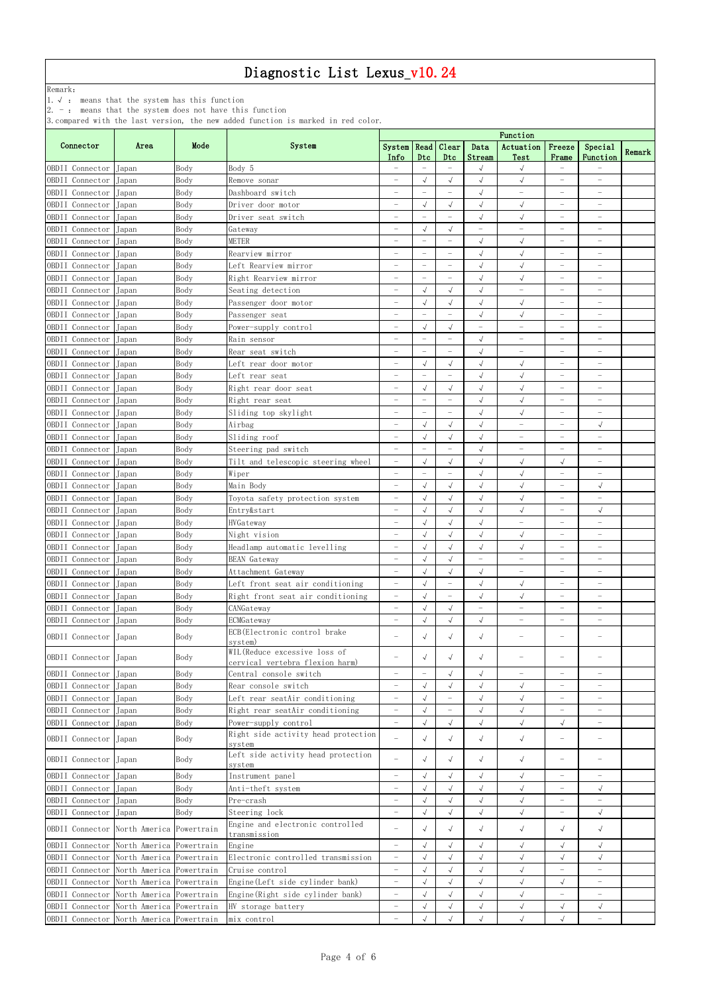Remark:

1.√ : means that the system has this function

2. - : means that the system does not have this function

|                                          |                          |            |                                              | Function                 |                                  |                                  |                          |                          |                          |                          |        |  |
|------------------------------------------|--------------------------|------------|----------------------------------------------|--------------------------|----------------------------------|----------------------------------|--------------------------|--------------------------|--------------------------|--------------------------|--------|--|
| Connector                                | Area                     | Mode       | System                                       | <b>System</b>            | Read                             | Clear                            | Data                     | Actuation                | Freeze                   | Special                  |        |  |
|                                          |                          |            |                                              | Info                     | Dtc                              | Dtc                              | Stream                   | Test                     | Frame                    | Function                 | Remark |  |
| OBDII Connector                          | Japan                    | Body       | Body 5                                       |                          |                                  |                                  | $\sqrt{}$                | $\sqrt{ }$               | $\equiv$                 |                          |        |  |
| OBDII Connector                          | Japan                    | Body       | Remove sonar                                 | $\overline{\phantom{0}}$ | $\sqrt{ }$                       | $\sqrt{ }$                       | $\sqrt{ }$               | $\sqrt{ }$               | $\overline{\phantom{0}}$ | $\overline{\phantom{0}}$ |        |  |
| OBDII Connector                          | Japan                    | Body       | Dashboard switch                             | $\overline{\phantom{0}}$ | $\overline{\phantom{0}}$         | $\overline{\phantom{0}}$         | $\sqrt{}$                | $\overline{\phantom{m}}$ | $\overline{\phantom{a}}$ | $\qquad \qquad -$        |        |  |
| OBDII Connector                          | Japan                    | Body       | Driver door motor                            | $\overline{\phantom{0}}$ | $\sqrt{}$                        | $\sqrt{ }$                       | $\sqrt{ }$               | $\sqrt{ }$               | $\overline{\phantom{m}}$ | $\overline{\phantom{a}}$ |        |  |
| OBDII Connector                          | Japan                    | Body       | Driver seat switch                           | $\equiv$                 | $\overline{\phantom{a}}$         | $\overline{\phantom{0}}$         | $\sqrt{ }$               | $\sqrt{ }$               | $\overline{\phantom{0}}$ | $\overline{\phantom{0}}$ |        |  |
| OBDII Connector                          | Japan                    | Body       | Gateway                                      | $\equiv$                 | $\sqrt{ }$                       | $\sqrt{ }$                       | $\overline{\phantom{0}}$ | $\equiv$                 | $\overline{\phantom{0}}$ |                          |        |  |
| OBDII Connector                          | Japan                    | Body       | <b>METER</b>                                 | $\equiv$                 | $\overline{\phantom{m}}$         | $\overline{\phantom{0}}$         | $\sqrt{ }$               | $\sqrt{}$                | $\overline{\phantom{a}}$ | $-$                      |        |  |
| OBDII Connector                          | Japan                    | Body       | Rearview mirror                              | $\overline{\phantom{0}}$ | $\overline{\phantom{m}}$         |                                  | $\sqrt{ }$               | $\sqrt{ }$               | $\overline{\phantom{0}}$ | $\qquad \qquad -$        |        |  |
| OBDII Connector                          | Japan                    | Body       | Left Rearview mirror                         | $\overline{\phantom{0}}$ | $\overline{\phantom{m}}$         | $\qquad \qquad -$                | $\sqrt{ }$               | $\sqrt{ }$               | $\overline{\phantom{0}}$ | $\qquad \qquad -$        |        |  |
| OBDII Connector                          | Japan                    | Body       | Right Rearview mirror                        | $\overline{\phantom{0}}$ | $\overline{\phantom{m}}$         | $\overline{\phantom{0}}$         | $\sqrt{}$                | $\sqrt{ }$               | $\overline{\phantom{a}}$ | $\overline{\phantom{0}}$ |        |  |
| OBDII Connector                          | Japan                    | Body       | Seating detection                            | $\overline{\phantom{m}}$ | $\sqrt{\phantom{a}}$             | $\sqrt{ }$                       | $\sqrt{ }$               | $\overline{\phantom{0}}$ | $\overline{\phantom{0}}$ | $\overline{\phantom{0}}$ |        |  |
| OBDII Connector                          | Japan                    | Body       | Passenger door motor                         | $\overline{\phantom{0}}$ | $\sqrt{ }$                       | $\sqrt{ }$                       | $\sqrt{ }$               | $\sqrt{ }$               | $\overline{\phantom{a}}$ | $\qquad \qquad -$        |        |  |
| OBDII Connector                          | Japan                    | Body       | Passenger seat                               | $\overline{\phantom{0}}$ |                                  |                                  | $\sqrt{}$                | $\sqrt{}$                | $\overline{\phantom{0}}$ | $\overline{\phantom{0}}$ |        |  |
| OBDII Connector                          | Japan                    | Body       | Power-supply control                         | $\qquad \qquad -$        | $\sqrt{ }$                       | $\sqrt{ }$                       | $\overline{\phantom{0}}$ | $\qquad \qquad -$        | $\overline{\phantom{m}}$ | $\overline{\phantom{0}}$ |        |  |
| OBDII Connector                          | Japan                    | Body       | Rain sensor                                  | $\equiv$                 | $\overline{\phantom{0}}$         | $\overline{\phantom{0}}$         | $\sqrt{ }$               | $\equiv$                 | $\overline{\phantom{0}}$ | $\overline{\phantom{0}}$ |        |  |
| OBDII Connector                          | Japan                    | Body       | Rear seat switch                             | $\overline{\phantom{0}}$ | $\overline{\phantom{a}}$         | $\overline{\phantom{0}}$         | $\sqrt{}$                | $\overline{\phantom{0}}$ | $\overline{\phantom{0}}$ | $\qquad \qquad -$        |        |  |
| OBDII Connector                          | Japan                    | Body       | Left rear door motor                         | $\overline{\phantom{0}}$ | $\sqrt{ }$                       | $\sqrt{ }$                       | $\sqrt{}$                | $\sqrt{ }$               | $\overline{\phantom{0}}$ | $\qquad \qquad -$        |        |  |
| OBDII Connector                          | Japan                    | Body       | Left rear seat                               | $\overline{\phantom{0}}$ | $\overline{\phantom{m}}$         | $\qquad \qquad -$                | $\sqrt{}$                | $\sqrt{ }$               | $\overline{\phantom{0}}$ | $\overline{\phantom{0}}$ |        |  |
| OBDII Connector                          | Japan                    | Body       | Right rear door seat                         | $\overline{\phantom{0}}$ | $\sqrt{ }$                       | $\sqrt{ }$                       | $\sqrt{}$                | $\sqrt{ }$               | $\overline{\phantom{a}}$ | $\qquad \qquad -$        |        |  |
| OBDII Connector                          | Japan                    | Body       | Right rear seat                              | $\overline{\phantom{m}}$ | $\overline{\phantom{m}}$         | $\qquad \qquad -$                | $\sqrt{ }$               | $\sqrt{ }$               | $\overline{\phantom{0}}$ | $\overline{\phantom{a}}$ |        |  |
| OBDII Connector                          | Japan                    | Body       | Sliding top skylight                         | $\overline{\phantom{0}}$ | $\overline{\phantom{a}}$         |                                  | $\sqrt{ }$               | $\sqrt{ }$               | $\overline{\phantom{0}}$ | $\qquad \qquad -$        |        |  |
| OBDII Connector                          | Japan                    | Body       | Airbag                                       | $\overline{\phantom{0}}$ | $\sqrt{}$                        | $\sqrt{}$                        | $\sqrt{ }$               | $\qquad \qquad -$        | $\overline{\phantom{0}}$ | $\sqrt{ }$               |        |  |
| OBDII Connector                          | Japan                    | Body       | Sliding roof                                 | $\overline{\phantom{0}}$ | $\sqrt{ }$                       | $\sqrt{ }$                       | $\sqrt{}$                | $\qquad \qquad -$        | $\overline{\phantom{m}}$ | $\overline{\phantom{0}}$ |        |  |
| OBDII Connector                          | Japan                    | Body       | Steering pad switch                          | $\overline{\phantom{0}}$ | $\overline{\phantom{0}}$         | $\overline{\phantom{0}}$         | $\sqrt{2}$               | $\equiv$                 | $\equiv$                 | $\equiv$                 |        |  |
| OBDII Connector                          | Japan                    | Body       | Tilt and telescopic steering wheel           | $\overline{\phantom{0}}$ | $\sqrt{ }$                       | $\sqrt{ }$                       | $\sqrt{}$                | $\sqrt{ }$               | $\sqrt{}$                | $\overline{\phantom{0}}$ |        |  |
| OBDII Connector                          | Japan                    | Body       | Wiper                                        | $\overline{\phantom{0}}$ | $\overline{\phantom{m}}$         |                                  | $\sqrt{ }$               | $\sqrt{ }$               | $\overline{\phantom{0}}$ | $\qquad \qquad -$        |        |  |
| OBDII Connector                          | Japan                    | Body       | Main Body                                    | $\qquad \qquad -$        | $\sqrt{ }$                       | $\sqrt{ }$                       | $\sqrt{\phantom{a}}$     | $\sqrt{ }$               | $\overline{\phantom{m}}$ | $\sqrt{ }$               |        |  |
| OBDII Connector Japan                    |                          | Body       | Toyota safety protection system              |                          |                                  |                                  |                          | $\sqrt{ }$               |                          |                          |        |  |
| OBDII Connector                          | Japan                    | Body       | Entry&start                                  | $\overline{\phantom{m}}$ | $\rightsquigarrow$<br>$\sqrt{ }$ | $\rightsquigarrow$<br>$\sqrt{ }$ | $\sqrt{ }$               | $\sqrt{ }$               | $\overline{\phantom{0}}$ | $\sqrt{ }$               |        |  |
| OBDII Connector                          | Japan                    | Body       | HVGateway                                    | $\overline{\phantom{0}}$ | $\sqrt{ }$                       | $\sqrt{ }$                       | $\sqrt{ }$               | $\overline{\phantom{0}}$ | $\overline{\phantom{0}}$ | $\overline{\phantom{0}}$ |        |  |
| OBDII Connector                          | Japan                    | Body       | Night vision                                 | -                        | $\sqrt{ }$                       | $\sqrt{ }$                       | $\sqrt{ }$               | $\sqrt{ }$               | $\overline{\phantom{0}}$ |                          |        |  |
| OBDII Connector                          | Japan                    | Body       | Headlamp automatic levelling                 | $\equiv$                 | $\sqrt{ }$                       | $\sqrt{ }$                       | $\sqrt{ }$               | $\sqrt{}$                | $\overline{\phantom{a}}$ | $\overline{\phantom{0}}$ |        |  |
| OBDII Connector                          | Japan                    | Body       | <b>BEAN</b> Gateway                          | $\overline{\phantom{0}}$ | $\sqrt{ }$                       | $\sqrt{}$                        | $\overline{\phantom{0}}$ | $\equiv$                 | $\equiv$                 | $\qquad \qquad -$        |        |  |
| OBDII Connector                          | Japan                    | Body       | Attachment Gateway                           | $\overline{\phantom{0}}$ | $\sqrt{ }$                       | $\sqrt{ }$                       | $\sqrt{}$                | $\overline{\phantom{m}}$ | $\overline{\phantom{0}}$ | $\overline{\phantom{0}}$ |        |  |
| OBDII Connector                          | Japan                    | Body       | Left front seat air conditioning             | $\overline{\phantom{0}}$ | $\sqrt{ }$                       | $\overline{\phantom{0}}$         | $\sqrt{ }$               | $\sqrt{ }$               | $\overline{\phantom{m}}$ | $\overline{\phantom{0}}$ |        |  |
| OBDII Connector                          | Japan                    | Body       | Right front seat air conditioning            | $\overline{\phantom{0}}$ | $\sqrt{ }$                       | $\overline{\phantom{0}}$         | $\sqrt{}$                | $\sqrt{}$                | $\overline{\phantom{0}}$ | $\qquad \qquad -$        |        |  |
| OBDII Connector                          | Japan                    | Body       | CANGateway                                   | $\overline{\phantom{0}}$ | $\sqrt{}$                        | $\sqrt{ }$                       | $\overline{\phantom{0}}$ | $\overline{\phantom{m}}$ | $\overline{\phantom{0}}$ | $\qquad \qquad -$        |        |  |
| OBDII Connector                          | Japan                    | Body       | ECMGateway                                   | $\qquad \qquad -$        | $\sqrt{ }$                       | $\sqrt{ }$                       | $\sqrt{ }$               | $\qquad \qquad -$        | $\overline{\phantom{m}}$ | $\overline{\phantom{a}}$ |        |  |
|                                          |                          |            | ECB (Electronic control brake                |                          |                                  |                                  |                          |                          |                          |                          |        |  |
| OBDII Connector                          | Japan                    | Body       | system)                                      | $\overline{\phantom{m}}$ | $\sqrt{ }$                       | $\sqrt{ }$                       | $\sqrt{ }$               | $\overline{\phantom{0}}$ | $\overline{\phantom{m}}$ |                          |        |  |
|                                          |                          |            | WIL (Reduce excessive loss of                | $\overline{\phantom{0}}$ | $\sqrt{ }$                       | $\sqrt{ }$                       | $\sqrt{ }$               | $\overline{\phantom{0}}$ | $\overline{\phantom{m}}$ |                          |        |  |
| OBDII Connector                          | Japan                    | Body       | cervical vertebra flexion harm)              |                          |                                  |                                  |                          |                          |                          |                          |        |  |
| OBDII Connector                          | Japan                    | Body       | Central console switch                       | $\equiv$                 | $\equiv$                         | $\sqrt{ }$                       | $\sqrt{ }$               | $\overline{\phantom{0}}$ | $\overline{\phantom{0}}$ | $\overline{\phantom{0}}$ |        |  |
| OBDII Connector                          | Japan                    | Body       | Rear console switch                          | $\overline{\phantom{0}}$ | $\sqrt{ }$                       | $\sqrt{ }$                       | $\sqrt{}$                | $\sqrt{ }$               | $\overline{\phantom{0}}$ | $\overline{\phantom{0}}$ |        |  |
| OBDII Connector                          | Japan                    | Body       | Left rear seatAir conditioning               | $\overline{\phantom{0}}$ | $\sqrt{ }$                       |                                  | $\sqrt{ }$               | $\checkmark$             | $\overline{\phantom{a}}$ | $\qquad \qquad -$        |        |  |
| OBDII Connector                          | Japan                    | Body       | Right rear seatAir conditioning              | $\qquad \qquad -$        | $\sqrt{ }$                       | $\qquad \qquad -$                | $\sqrt{ }$               | $\sqrt{ }$               | $\overline{\phantom{m}}$ | $\overline{\phantom{a}}$ |        |  |
| OBDII Connector                          | Japan                    | Body       | Power-supply control                         | $\overline{\phantom{0}}$ | $\sqrt{ }$                       | $\sqrt{ }$                       | $\sqrt{}$                | $\sqrt{2}$               | $\sqrt{ }$               | $\qquad \qquad -$        |        |  |
| OBDII Connector                          | Japan                    | Body       | Right side activity head protection          | $\equiv$                 | $\sqrt{ }$                       | $\sqrt{ }$                       | $\sqrt{ }$               | $\sqrt{ }$               | $\overline{\phantom{m}}$ |                          |        |  |
|                                          |                          |            | system<br>Left side activity head protection |                          |                                  |                                  |                          |                          |                          |                          |        |  |
| OBDII Connector                          | Japan                    | Body       | system                                       | $\equiv$                 | $\sqrt{ }$                       | $\sqrt{ }$                       | $\sqrt{ }$               | $\sqrt{ }$               | $\overline{\phantom{m}}$ |                          |        |  |
| OBDII Connector                          | Japan                    | Body       | Instrument panel                             | $\overline{\phantom{m}}$ | $\sqrt{ }$                       | $\sqrt{ }$                       | $\sqrt{}$                | $\sqrt{ }$               | $\overline{\phantom{0}}$ | $\overline{\phantom{0}}$ |        |  |
| OBDII Connector                          | Japan                    | Body       | Anti-theft system                            | $\overline{\phantom{0}}$ |                                  | $\sqrt{}$                        | $\sqrt{}$                | $\sqrt{}$                | $\overline{\phantom{0}}$ | $\sqrt{}$                |        |  |
| OBDII Connector                          | Japan                    | Body       | Pre-crash                                    | $\overline{\phantom{0}}$ |                                  | $\sqrt{}$                        | $\checkmark$             | $\sqrt{}$                | $\overline{\phantom{0}}$ | $\overline{\phantom{0}}$ |        |  |
| OBDII Connector                          | Japan                    | Body       | Steering lock                                | $\overline{\phantom{0}}$ | $\sqrt{ }$                       | $\sqrt{ }$                       | $\sqrt{ }$               | $\sqrt{2}$               | $\overline{\phantom{m}}$ | $\sqrt{ }$               |        |  |
|                                          |                          |            | Engine and electronic controlled             |                          |                                  |                                  |                          |                          |                          |                          |        |  |
| OBDII Connector North America Powertrain |                          |            | transmission                                 | $\overline{\phantom{m}}$ | $\sqrt{ }$                       | $\sqrt{ }$                       | $\sqrt{}$                | $\sqrt{ }$               | $\sqrt{ }$               | $\sqrt{ }$               |        |  |
| OBDII Connector                          | North America Powertrain |            | Engine                                       | $\equiv$                 | $\sqrt{ }$                       | $\sqrt{ }$                       | $\sqrt{ }$               | $\sqrt{}$                | $\sqrt{}$                | $\sqrt{ }$               |        |  |
| OBDII Connector                          | North America Powertrain |            | Electronic controlled transmission           | $\overline{\phantom{0}}$ | $\sqrt{ }$                       | $\sqrt{ }$                       | $\sqrt{}$                | $\sqrt{}$                | $\sqrt{}$                | $\sqrt{}$                |        |  |
| OBDII Connector North America Powertrain |                          |            | Cruise control                               | $\overline{\phantom{0}}$ | $\sqrt{ }$                       | $\sqrt{ }$                       | $\checkmark$             | $\sqrt{ }$               |                          |                          |        |  |
| OBDII Connector                          | North America Powertrain |            | Engine (Left side cylinder bank)             | $\overline{\phantom{a}}$ | $\sqrt{ }$                       | $\sqrt{ }$                       | $\sqrt{}$                | $\sqrt{ }$               | $\sqrt{}$                | $\qquad \qquad -$        |        |  |
| OBDII Connector                          | North America            | Powertrain | Engine (Right side cylinder bank)            | $\overline{\phantom{0}}$ | $\sqrt{ }$                       | $\sqrt{ }$                       | $\sqrt{ }$               | $\sqrt{ }$               | $\overline{\phantom{0}}$ | $\overline{\phantom{0}}$ |        |  |
| OBDII Connector                          | North America Powertrain |            | HV storage battery                           | $\qquad \qquad -$        | $\sqrt{ }$                       | $\sqrt{ }$                       | $\sqrt{}$                | $\sqrt{ }$               | $\sqrt{ }$               | $\sqrt{ }$               |        |  |
| OBDII Connector                          | North America Powertrain |            | mix control                                  | $\qquad \qquad -$        | $\sqrt{ }$                       |                                  | $\sqrt{ }$               | $\sqrt{ }$               | $\sqrt{ }$               | $\overline{\phantom{0}}$ |        |  |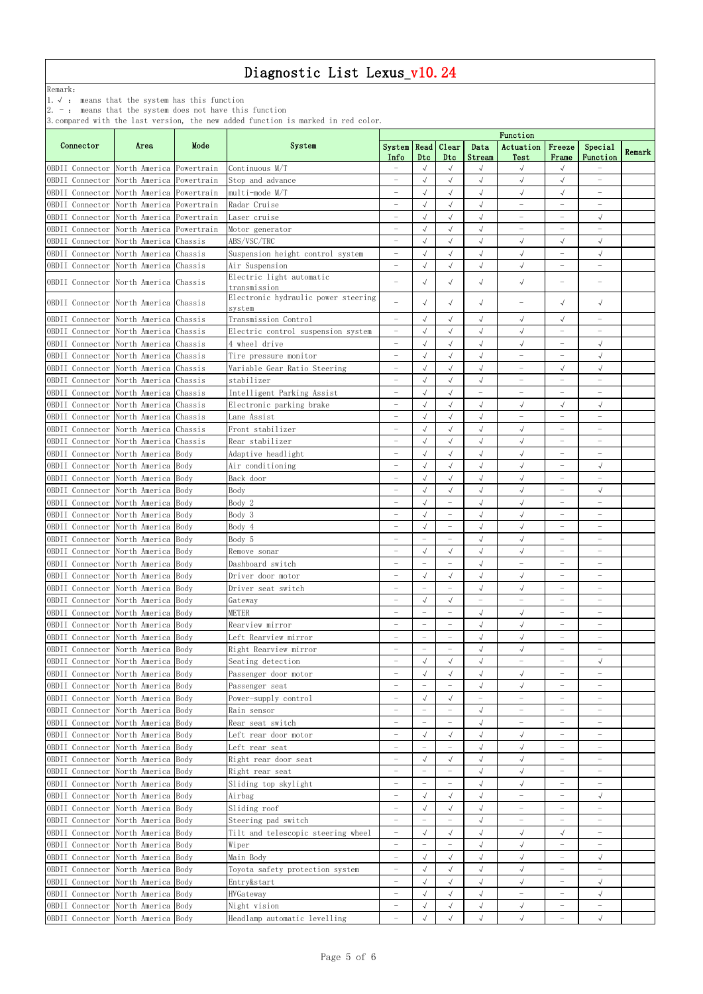Remark:

1.√ : means that the system has this function

2. - : means that the system does not have this function

|                                                       |                                          |      |                                               | Function                                             |                                        |                                        |                          |                                 |                                                      |                                                      |        |  |
|-------------------------------------------------------|------------------------------------------|------|-----------------------------------------------|------------------------------------------------------|----------------------------------------|----------------------------------------|--------------------------|---------------------------------|------------------------------------------------------|------------------------------------------------------|--------|--|
| Connector                                             | Area                                     | Mode | System                                        | System   Read   Clear<br>Info                        | Dtc                                    | Dtc                                    | Data<br>Stream           | Actuation<br>Test               | Freeze<br>Frame                                      | Special<br>Function                                  | Remark |  |
| OBDII Connector North America Powertrain              |                                          |      | Continuous M/T                                | $\overline{\phantom{m}}$                             | $\sqrt{ }$                             | $\sqrt{ }$                             |                          | $\sqrt{ }$                      | $\sqrt{ }$                                           |                                                      |        |  |
| OBDII Connector North America Powertrain              |                                          |      | Stop and advance                              | $\equiv$                                             | $\sqrt{ }$                             | $\sqrt{ }$                             | $\sqrt{ }$               | $\sqrt{ }$                      | $\sqrt{ }$                                           | $\equiv$                                             |        |  |
| OBDII Connector                                       | North America Powertrain                 |      | multi-mode M/T                                | $\overline{\phantom{0}}$                             | $\sqrt{ }$                             | $\sqrt{ }$                             | $\sqrt{}$                | $\sqrt{\phantom{a}}$            | $\sqrt{ }$                                           | $\overline{\phantom{0}}$                             |        |  |
| OBDII Connector North America Powertrain              |                                          |      | Radar Cruise                                  | $\overline{\phantom{m}}$                             |                                        | $\sqrt{ }$                             | $\sqrt{ }$               | $\qquad \qquad -$               | $\overline{\phantom{m}}$                             | $\overline{\phantom{0}}$                             |        |  |
| OBDII Connector                                       | North America Powertrain                 |      | Laser cruise                                  | $\overline{\phantom{0}}$                             | $\sqrt{2}$                             | $\sqrt{}$                              | $\sqrt{ }$               | $\qquad \qquad -$               | $\overline{\phantom{0}}$                             | $\sqrt{ }$                                           |        |  |
| OBDII Connector North America Powertrain              |                                          |      | Motor generator                               | $\overline{\phantom{m}}$                             | $\sqrt{ }$                             | $\sqrt{ }$                             | $\sqrt{2}$               | $\qquad \qquad -$               | $\overline{\phantom{m}}$                             |                                                      |        |  |
| OBDII Connector                                       | North America Chassis                    |      | ABS/VSC/TRC                                   | $\overline{\phantom{0}}$                             | $\sqrt{ }$                             | $\sqrt{ }$                             | $\sqrt{2}$               | $\sqrt{2}$                      | $\sqrt{ }$                                           | $\sqrt{ }$                                           |        |  |
| OBDII Connector                                       | North America Chassis                    |      | Suspension height control system              | $\overline{\phantom{m}}$                             | $\sqrt{ }$                             | $\sqrt{ }$                             | $\sqrt{ }$               | $\sqrt{ }$                      | $\qquad \qquad -$                                    | $\sqrt{ }$                                           |        |  |
| OBDII Connector                                       | North America Chassis                    |      | Air Suspension                                | $\equiv$                                             | $\sqrt{ }$                             | $\sqrt{ }$                             | $\sqrt{ }$               | $\sqrt{ }$                      | $\overline{\phantom{0}}$                             | $\qquad \qquad -$                                    |        |  |
| OBDII Connector North America Chassis                 |                                          |      | Electric light automatic<br>transmission      |                                                      | $\sqrt{ }$                             | $\sqrt{ }$                             | $\sqrt{ }$               | $\sqrt{ }$                      |                                                      |                                                      |        |  |
| OBDII Connector North America Chassis                 |                                          |      | Electronic hydraulic power steering<br>system |                                                      | $\sqrt{ }$                             | $\sqrt{ }$                             | $\sqrt{ }$               |                                 | $\sqrt{ }$                                           | $\sqrt{ }$                                           |        |  |
| OBDII Connector North America Chassis                 |                                          |      | Transmission Control                          | $\equiv$                                             | $\sqrt{ }$                             | $\sqrt{ }$                             | $\sqrt{}$                | $\sqrt{}$                       | $\sqrt{ }$                                           | $\qquad \qquad -$                                    |        |  |
| OBDII Connector                                       | North America Chassis                    |      | Electric control suspension system            | $\overline{\phantom{m}}$                             | $\sqrt{ }$                             | $\sqrt{ }$                             | $\sqrt{}$                | $\sqrt{}$                       | $\overline{\phantom{0}}$                             |                                                      |        |  |
| OBDII Connector North America Chassis                 |                                          |      | 4 wheel drive                                 | $\overline{\phantom{m}}$                             | $\sqrt{ }$                             | $\sqrt{ }$                             | $\sqrt{ }$               | $\sqrt{ }$                      | $\overline{\phantom{m}}$                             | $\sqrt{}$                                            |        |  |
| OBDII Connector North America Chassis                 |                                          |      | Tire pressure monitor                         | $\overline{\phantom{0}}$                             | $\sqrt{ }$                             | $\sqrt{ }$                             | $\sqrt{ }$               | $\overline{\phantom{0}}$        | $\overline{\phantom{0}}$                             | $\sqrt{ }$                                           |        |  |
| OBDII Connector North America Chassis                 |                                          |      | Variable Gear Ratio Steering                  | $\qquad \qquad -$                                    | $\sqrt{ }$                             | $\sqrt{ }$                             | $\sqrt{ }$               | $\overline{\phantom{0}}$        | $\sqrt{ }$                                           | $\sqrt{ }$                                           |        |  |
| OBDII Connector North America Chassis                 |                                          |      | stabilizer                                    | $\overline{\phantom{m}}$                             | $\sqrt{}$                              | $\sqrt{ }$                             | $\checkmark$             | $\overline{\phantom{0}}$        | $\overline{\phantom{m}}$                             | $\qquad \qquad -$                                    |        |  |
| OBDII Connector                                       | North America Chassis                    |      | Intelligent Parking Assist                    | $\overline{\phantom{m}}$                             | $\sqrt{ }$                             | $\sqrt{ }$                             | $\overline{\phantom{0}}$ | $\overline{\phantom{0}}$        | $\overline{\phantom{0}}$                             |                                                      |        |  |
| OBDII Connector North America Chassis                 |                                          |      | Electronic parking brake                      | $\equiv$                                             | $\sqrt{ }$                             | $\sqrt{ }$                             | $\sqrt{2}$               | $\sqrt{ }$                      | $\sqrt{ }$                                           | $\sqrt{ }$                                           |        |  |
| OBDII Connector                                       | North America Chassis                    |      | Lane Assist                                   | $\overline{\phantom{0}}$                             | $\sqrt{2}$                             | $\sqrt{2}$                             | $\sqrt{2}$               | $\equiv$                        | L.                                                   |                                                      |        |  |
| OBDII Connector                                       | North America Chassis                    |      | Front stabilizer                              | $\overline{\phantom{0}}$                             | $\sqrt{ }$                             | $\sqrt{ }$                             | $\sqrt{}$                | $\sqrt{}$                       | $\overline{\phantom{m}}$                             | $\qquad \qquad -$                                    |        |  |
| OBDII Connector                                       | North America Chassis                    |      | Rear stabilizer                               | $\overline{\phantom{0}}$                             | $\sqrt{ }$                             | $\sqrt{}$                              | $\sqrt{}$                | $\sqrt{ }$                      | $\overline{\phantom{0}}$                             | $\qquad \qquad -$                                    |        |  |
| OBDII Connector                                       | North America Body                       |      | Adaptive headlight                            | $\overline{\phantom{m}}$                             | $\sqrt{ }$                             | $\sqrt{ }$                             | $\sqrt{ }$               | $\sqrt{ }$                      | $\qquad \qquad -$                                    | $\overline{\phantom{0}}$                             |        |  |
| OBDII Connector North America Body                    |                                          |      | Air conditioning                              | -                                                    | $\sqrt{ }$                             | $\sqrt{ }$                             | $\sqrt{ }$               | $\sqrt{ }$                      | $\overline{\phantom{0}}$                             | $\sqrt{ }$                                           |        |  |
| OBDII Connector North America Body                    |                                          |      | Back door                                     | $\overline{\phantom{0}}$                             | $\sqrt{ }$                             | $\sqrt{ }$                             | $\sqrt{ }$               | $\sqrt{ }$                      | $\overline{\phantom{0}}$                             | $\overline{\phantom{0}}$                             |        |  |
| OBDII Connector North America Body                    |                                          |      | Body                                          | $\overline{\phantom{m}}$                             | $\sqrt{ }$                             | $\sqrt{ }$                             | $\sqrt{ }$               | $\sqrt{ }$                      | $\overline{\phantom{0}}$                             | $\sqrt{ }$                                           |        |  |
| OBDII Connector North America Body                    |                                          |      | Body 2                                        |                                                      | $\sqrt{ }$                             |                                        | √                        | $\sqrt{ }$                      |                                                      |                                                      |        |  |
| OBDII Connector North America Body                    |                                          |      | Body 3                                        | $\overline{\phantom{0}}$                             | $\sqrt{2}$                             | $\overline{\phantom{0}}$               | $\sqrt{2}$               | $\sqrt{}$                       | $\overline{\phantom{m}}$                             | $\overline{\phantom{0}}$                             |        |  |
| OBDII Connector North America Body                    |                                          |      | Body 4                                        |                                                      | $\sqrt{ }$                             | $\overline{\phantom{0}}$               | $\sqrt{ }$               | $\sqrt{}$                       | $\overline{\phantom{0}}$                             | $\equiv$                                             |        |  |
| OBDII Connector                                       | North America Body                       |      | Body 5                                        | L,                                                   | $\overline{\phantom{a}}$               |                                        | $\sqrt{2}$<br>$\sqrt{}$  | $\sqrt{}$                       | $\overline{\phantom{0}}$<br>$\overline{\phantom{0}}$ | $\qquad \qquad -$                                    |        |  |
| OBDII Connector                                       | North America Body<br>North America Body |      | Remove sonar<br>Dashboard switch              | $\overline{\phantom{0}}$<br>$\overline{\phantom{m}}$ | $\sqrt{ }$<br>$\overline{\phantom{m}}$ | $\sqrt{ }$<br>$\overline{\phantom{0}}$ | $\sqrt{ }$               | $\sqrt{ }$<br>$\qquad \qquad -$ | $\overline{\phantom{m}}$                             | $\overline{\phantom{0}}$<br>$\overline{\phantom{a}}$ |        |  |
| OBDII Connector<br>OBDII Connector North America Body |                                          |      | Driver door motor                             | $\overline{\phantom{0}}$                             | $\sqrt{ }$                             | $\sqrt{ }$                             | $\sqrt{ }$               | $\sqrt{}$                       | $\overline{\phantom{m}}$                             | $\qquad \qquad -$                                    |        |  |
| OBDII Connector North America Body                    |                                          |      | Driver seat switch                            | $\overline{\phantom{m}}$                             | $\overline{\phantom{m}}$               | $\overline{\phantom{0}}$               | $\sqrt{ }$               | $\sqrt{\phantom{a}}$            | $\overline{\phantom{m}}$                             | $\overline{\phantom{a}}$                             |        |  |
| OBDII Connector North America Body                    |                                          |      | Gateway                                       | $\overline{\phantom{m}}$                             | $\sqrt{ }$                             |                                        | $\overline{\phantom{0}}$ | $\qquad \qquad -$               | $\qquad \qquad -$                                    | $\overline{\phantom{a}}$                             |        |  |
| OBDII Connector North America Body                    |                                          |      | <b>METER</b>                                  |                                                      |                                        |                                        | $\sqrt{\phantom{a}}$     | $\sqrt{ }$                      | $\overline{\phantom{0}}$                             |                                                      |        |  |
| OBDII Connector North America Body                    |                                          |      | Rearview mirror                               | $\overline{\phantom{m}}$                             | $\overline{\phantom{a}}$               | $\overline{\phantom{0}}$               | $\sqrt{}$                | $\sqrt{}$                       | $\overline{\phantom{m}}$                             | $\overline{\phantom{0}}$                             |        |  |
| OBDII Connector                                       | North America Body                       |      | Left Rearview mirror                          | $\equiv$                                             | $\overline{\phantom{0}}$               | $\overline{\phantom{0}}$               | $\sqrt{}$                | $\sqrt{ }$                      | $\equiv$                                             | $\overline{\phantom{0}}$                             |        |  |
| OBDII Connector                                       | North America Body                       |      | Right Rearview mirror                         | $\overline{\phantom{m}}$                             | $\overline{\phantom{m}}$               | $\overline{\phantom{0}}$               | $\sqrt{2}$               | $\sqrt{}$                       | $\qquad \qquad -$                                    | $\qquad \qquad -$                                    |        |  |
| OBDII Connector                                       | North America Body                       |      | Seating detection                             | $\overline{\phantom{0}}$                             | $\sqrt{ }$                             | $\sqrt{ }$                             | $\sqrt{ }$               | $\overline{\phantom{0}}$        | $\overline{\phantom{0}}$                             | $\sqrt{ }$                                           |        |  |
| OBDII Connector North America Body                    |                                          |      | Passenger door motor                          | $\overline{\phantom{m}}$                             | $\sqrt{ }$                             | $\sqrt{ }$                             | $\sqrt{ }$               | $\sqrt{ }$                      | $\overline{\phantom{m}}$                             | $\overline{\phantom{a}}$                             |        |  |
| OBDII Connector North America Body                    |                                          |      | Passenger seat                                | $\overline{\phantom{0}}$                             | $\qquad \qquad -$                      | $\overline{\phantom{0}}$               | $\sqrt{ }$               | $\sqrt{ }$                      | $\overline{\phantom{m}}$                             | $\overline{\phantom{0}}$                             |        |  |
| OBDII Connector                                       | North America Body                       |      | Power-supply control                          | $\overline{\phantom{0}}$                             | $\sqrt{}$                              | $\sqrt{ }$                             | $\overline{\phantom{0}}$ | $\overline{\phantom{0}}$        | $\overline{\phantom{0}}$                             | $\overline{\phantom{a}}$                             |        |  |
| OBDII Connector North America Body                    |                                          |      | Rain sensor                                   | $\equiv$                                             | $\overline{\phantom{0}}$               | $\overline{\phantom{0}}$               | $\sqrt{2}$               | $\qquad \qquad -$               | $\overline{\phantom{0}}$                             | $\qquad \qquad -$                                    |        |  |
| OBDII Connector                                       | North America Body                       |      | Rear seat switch                              | L,                                                   | $\overline{\phantom{a}}$               | ÷                                      | $\sqrt{2}$               | $\overline{\phantom{0}}$        | ÷                                                    | $\overbrace{\phantom{123221111}}$                    |        |  |
| OBDII Connector                                       | North America Body                       |      | Left rear door motor                          | $\overline{\phantom{0}}$                             | $\sqrt{ }$                             | $\sqrt{ }$                             | $\sqrt{}$                | $\sqrt{}$                       | $\qquad \qquad -$                                    | $\qquad \qquad -$                                    |        |  |
| OBDII Connector                                       | North America Body                       |      | Left rear seat                                | L,                                                   | $\qquad \qquad -$                      | $\overline{\phantom{0}}$               | $\sqrt{}$                | $\sqrt{ }$                      | $\overline{\phantom{0}}$                             | $\overline{\phantom{0}}$                             |        |  |
| OBDII Connector                                       | North America Body                       |      | Right rear door seat                          | $\overline{\phantom{0}}$                             | $\sqrt{ }$                             | $\sqrt{ }$                             | $\sqrt{ }$               | $\sqrt{ }$                      | $\qquad \qquad -$                                    | $\overline{\phantom{0}}$                             |        |  |
| OBDII Connector North America Body                    |                                          |      | Right rear seat                               | $\overline{\phantom{0}}$                             | $\overline{\phantom{m}}$               | $\overline{\phantom{0}}$               | $\sqrt{ }$               | $\sqrt{ }$                      | $\overline{\phantom{0}}$                             | $\overline{\phantom{0}}$                             |        |  |
| OBDII Connector North America Body                    |                                          |      | Sliding top skylight                          | $\overline{\phantom{m}}$                             | $\overline{\phantom{m}}$               | $\overline{\phantom{0}}$               | $\sqrt{ }$               | $\sqrt{ }$                      | $\overline{\phantom{0}}$                             | $\overline{\phantom{a}}$                             |        |  |
| OBDII Connector North America Body                    |                                          |      | Airbag                                        | $\overline{\phantom{m}}$                             | $\sqrt{}$                              | $\sqrt{ }$                             | $\sqrt{ }$               | $\overline{\phantom{0}}$        | $\overline{\phantom{m}}$                             | $\sqrt{}$                                            |        |  |
| OBDII Connector North America Body                    |                                          |      | Sliding roof                                  | $\overline{\phantom{0}}$                             | $\sqrt{ }$                             | $\sqrt{ }$                             | $\sqrt{}$                | $\overline{\phantom{0}}$        | $\overline{\phantom{0}}$                             |                                                      |        |  |
| OBDII Connector North America Body                    |                                          |      | Steering pad switch                           | $\overline{\phantom{m}}$                             | $\overline{\phantom{a}}$               | ÷                                      | $\sqrt{ }$               | $\overline{\phantom{0}}$        | $\qquad \qquad -$                                    | $\overline{\phantom{0}}$                             |        |  |
| OBDII Connector                                       | North America Body                       |      | Tilt and telescopic steering wheel            | $\overline{\phantom{m}}$                             | $\sqrt{ }$                             | $\sqrt{ }$                             | $\sqrt{}$                | $\sqrt{}$                       | $\sqrt{ }$                                           | $\overline{\phantom{0}}$                             |        |  |
| OBDII Connector                                       | North America Body                       |      | Wiper                                         | $\overline{\phantom{0}}$                             | $\overline{\phantom{a}}$               | $\overline{\phantom{0}}$               | $\sqrt{}$                | $\sqrt{}$                       | $\overline{\phantom{m}}$                             | $\qquad \qquad -$                                    |        |  |
| OBDII Connector                                       | North America Body                       |      | Main Body                                     | $\overline{\phantom{m}}$                             | $\sqrt{ }$                             | $\sqrt{ }$                             | $\sqrt{}$                | $\sqrt{ }$                      | $\qquad \qquad -$                                    | $\sqrt{}$                                            |        |  |
| OBDII Connector North America Body                    |                                          |      | Toyota safety protection system               |                                                      |                                        |                                        | $\sqrt{2}$               | $\sqrt{ }$                      | $\overline{\phantom{0}}$                             | $\overline{\phantom{0}}$                             |        |  |
| OBDII Connector North America Body                    |                                          |      | Entry&start                                   | $\qquad \qquad -$                                    | $\sqrt{ }$                             | $\sqrt{ }$                             | $\sqrt{}$                | $\sqrt{ }$                      | $\overline{\phantom{m}}$                             | $\sqrt{ }$                                           |        |  |
| OBDII Connector                                       | North America Body                       |      | HVGateway                                     | $\overline{\phantom{m}}$                             | $\sqrt{ }$                             | $\sqrt{ }$                             | $\sqrt{ }$               | $\qquad \qquad -$               | $\qquad \qquad -$                                    | $\sqrt{2}$                                           |        |  |
| OBDII Connector                                       | North America Body                       |      | Night vision                                  |                                                      | $\sqrt{ }$                             | $\sqrt{ }$                             | $\checkmark$             | $\sqrt{ }$                      | $\qquad \qquad -$                                    | $\qquad \qquad -$                                    |        |  |
| OBDII Connector                                       | North America Body                       |      | Headlamp automatic levelling                  |                                                      |                                        | $\sqrt{ }$                             | $\sqrt{ }$               | $\sqrt{}$                       | $\overline{\phantom{m}}$                             | $\sqrt{2}$                                           |        |  |